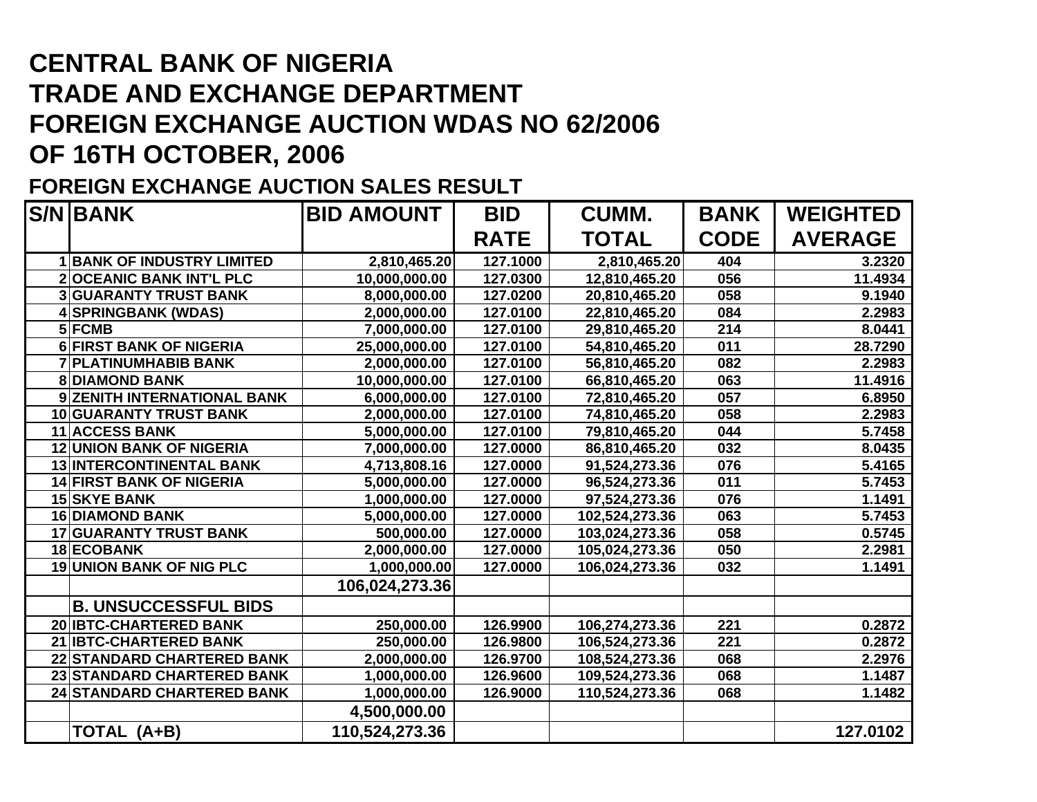## **CENTRAL BANK OF NIGERIA TRADE AND EXCHANGE DEPARTMENT FOREIGN EXCHANGE AUCTION WDAS NO 62/2006 OF 16TH OCTOBER, 2006**

## **FOREIGN EXCHANGE AUCTION SALES RESULT**

| <b>S/N BANK</b>                   | <b>BID AMOUNT</b>         | <b>BID</b>  | <b>CUMM.</b>   | <b>BANK</b> | <b>WEIGHTED</b> |
|-----------------------------------|---------------------------|-------------|----------------|-------------|-----------------|
|                                   |                           | <b>RATE</b> | <b>TOTAL</b>   | <b>CODE</b> | <b>AVERAGE</b>  |
| <b>1 BANK OF INDUSTRY LIMITED</b> | 2,810,465.20              | 127.1000    | 2,810,465.20   | 404         | 3.2320          |
| <b>2OCEANIC BANK INT'L PLC</b>    | 10,000,000.00             | 127.0300    | 12,810,465.20  | 056         | 11.4934         |
| <b>3 GUARANTY TRUST BANK</b>      | 8,000,000.00              | 127.0200    | 20,810,465.20  | 058         | 9.1940          |
| 4 SPRINGBANK (WDAS)               | 2,000,000.00              | 127.0100    | 22,810,465.20  | 084         | 2.2983          |
| 5 FCMB                            | 7,000,000.00              | 127.0100    | 29,810,465.20  | 214         | 8.0441          |
| <b>6 FIRST BANK OF NIGERIA</b>    | 25,000,000.00             | 127.0100    | 54,810,465.20  | 011         | 28.7290         |
| <b>7 PLATINUMHABIB BANK</b>       | 2,000,000.00              | 127.0100    | 56,810,465.20  | 082         | 2.2983          |
| <b>8DIAMOND BANK</b>              | 10,000,000.00             | 127.0100    | 66,810,465.20  | 063         | 11.4916         |
| 9 ZENITH INTERNATIONAL BANK       | 6,000,000.00              | 127.0100    | 72,810,465.20  | 057         | 6.8950          |
| <b>10 GUARANTY TRUST BANK</b>     | 2,000,000.00              | 127.0100    | 74,810,465.20  | 058         | 2.2983          |
| <b>11 ACCESS BANK</b>             | 5,000,000.00              | 127.0100    | 79,810,465.20  | 044         | 5.7458          |
| <b>12 UNION BANK OF NIGERIA</b>   | 7,000,000.00              | 127.0000    | 86,810,465.20  | 032         | 8.0435          |
| <b>13 INTERCONTINENTAL BANK</b>   | 4,713,808.16              | 127.0000    | 91,524,273.36  | 076         | 5.4165          |
| <b>14 FIRST BANK OF NIGERIA</b>   | 5,000,000.00              | 127.0000    | 96,524,273.36  | 011         | 5.7453          |
| <b>15 SKYE BANK</b>               | 1,000,000.00              | 127.0000    | 97,524,273.36  | 076         | 1.1491          |
| <b>16 DIAMOND BANK</b>            | 5,000,000.00              | 127.0000    | 102,524,273.36 | 063         | 5.7453          |
| <b>17 GUARANTY TRUST BANK</b>     | 500,000.00                | 127.0000    | 103,024,273.36 | 058         | 0.5745          |
| 18 ECOBANK                        | 2,000,000.00              | 127.0000    | 105,024,273.36 | 050         | 2.2981          |
| <b>19 UNION BANK OF NIG PLC</b>   | $\overline{1,000,000.00}$ | 127.0000    | 106,024,273.36 | 032         | 1.1491          |
|                                   | 106,024,273.36            |             |                |             |                 |
| <b>B. UNSUCCESSFUL BIDS</b>       |                           |             |                |             |                 |
| 20 IBTC-CHARTERED BANK            | 250,000.00                | 126.9900    | 106,274,273.36 | 221         | 0.2872          |
| 21 IBTC-CHARTERED BANK            | 250,000.00                | 126.9800    | 106,524,273.36 | 221         | 0.2872          |
| 22 STANDARD CHARTERED BANK        | 2,000,000.00              | 126.9700    | 108,524,273.36 | 068         | 2.2976          |
| 23 STANDARD CHARTERED BANK        | 1,000,000.00              | 126.9600    | 109,524,273.36 | 068         | 1.1487          |
| <b>24 STANDARD CHARTERED BANK</b> | 1,000,000.00              | 126.9000    | 110,524,273.36 | 068         | 1.1482          |
|                                   | 4,500,000.00              |             |                |             |                 |
| TOTAL (A+B)                       | 110,524,273.36            |             |                |             | 127.0102        |